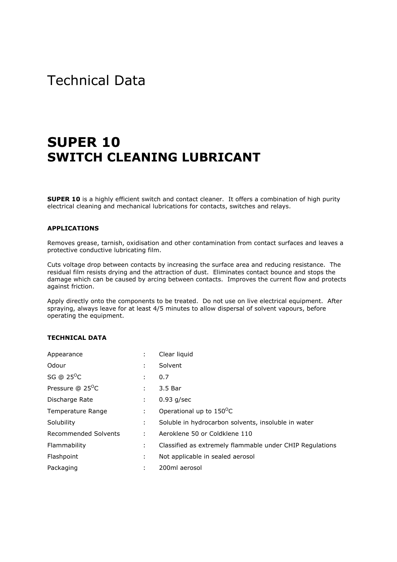# Technical Data

## **SUPER 10 SWITCH CLEANING LUBRICANT**

**SUPER 10** is a highly efficient switch and contact cleaner. It offers a combination of high purity electrical cleaning and mechanical lubrications for contacts, switches and relays.

#### **APPLICATIONS**

Removes grease, tarnish, oxidisation and other contamination from contact surfaces and leaves a protective conductive lubricating film.

Cuts voltage drop between contacts by increasing the surface area and reducing resistance. The residual film resists drying and the attraction of dust. Eliminates contact bounce and stops the damage which can be caused by arcing between contacts. Improves the current flow and protects against friction.

Apply directly onto the components to be treated. Do not use on live electrical equipment. After spraying, always leave for at least 4/5 minutes to allow dispersal of solvent vapours, before operating the equipment.

#### **TECHNICAL DATA**

| Appearance                     | ÷. | Clear liquid                                             |
|--------------------------------|----|----------------------------------------------------------|
| Odour                          | ÷. | Solvent                                                  |
| SG @ $25^{\circ}$ C            | ÷  | 0.7                                                      |
| Pressure $@$ 25 <sup>o</sup> C |    | 3.5 Bar                                                  |
| Discharge Rate                 | ÷  | $0.93$ g/sec                                             |
| Temperature Range              | ÷. | Operational up to $150^{\circ}$ C                        |
| Solubility                     | ÷  | Soluble in hydrocarbon solvents, insoluble in water      |
| <b>Recommended Solvents</b>    | ÷  | Aeroklene 50 or Coldklene 110                            |
| Flammability                   | ÷  | Classified as extremely flammable under CHIP Regulations |
| Flashpoint                     | ÷  | Not applicable in sealed aerosol                         |
| Packaging                      | ÷  | 200ml aerosol                                            |